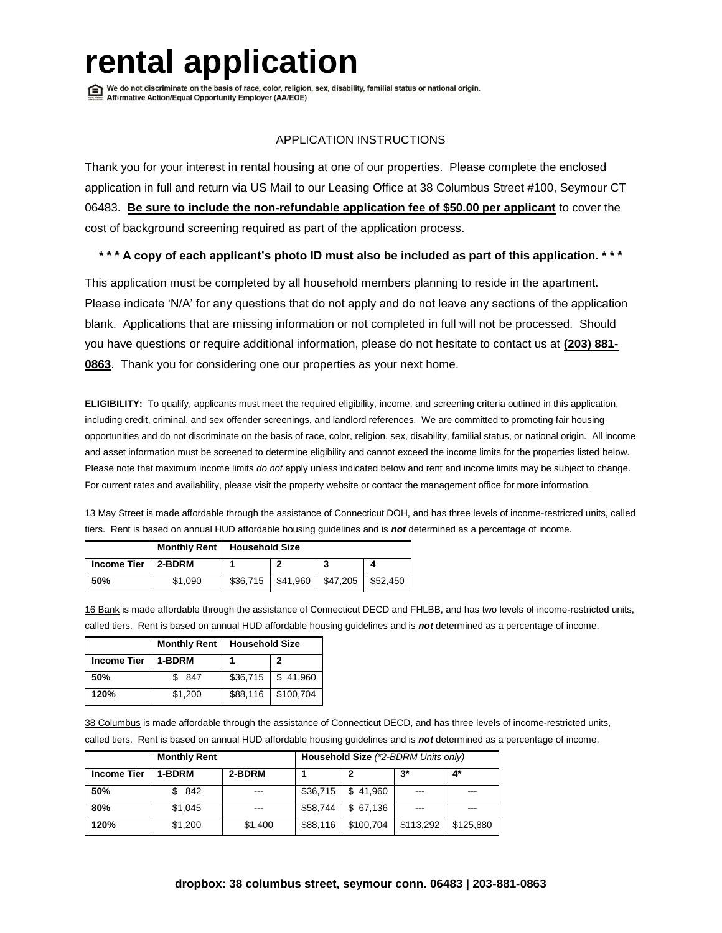# **rental appolicition**<br> **rends** and discriminate on the basis of race, color, religion, sex, disability, familial status or national origin.

# APPLICATION INSTRUCTIONS

Thank you for your interest in rental housing at one of our properties. Please complete the enclosed application in full and return via US Mail to our Leasing Office at 38 Columbus Street #100, Seymour CT 06483. **Be sure to include the non-refundable application fee of \$50.00 per applicant** to cover the cost of background screening required as part of the application process.

# **\* \* \* A copy of each applicant's photo ID must also be included as part of this application. \* \* \***

This application must be completed by all household members planning to reside in the apartment. Please indicate 'N/A' for any questions that do not apply and do not leave any sections of the application blank. Applications that are missing information or not completed in full will not be processed. Should you have questions or require additional information, please do not hesitate to contact us at **(203) 881- 0863**. Thank you for considering one our properties as your next home.

**ELIGIBILITY:** To qualify, applicants must meet the required eligibility, income, and screening criteria outlined in this application, including credit, criminal, and sex offender screenings, and landlord references. We are committed to promoting fair housing opportunities and do not discriminate on the basis of race, color, religion, sex, disability, familial status, or national origin. All income and asset information must be screened to determine eligibility and cannot exceed the income limits for the properties listed below. Please note that maximum income limits *do not* apply unless indicated below and rent and income limits may be subject to change. For current rates and availability, please visit the property website or contact the management office for more information.

13 May Street is made affordable through the assistance of Connecticut DOH, and has three levels of income-restricted units, called tiers. Rent is based on annual HUD affordable housing guidelines and is *not* determined as a percentage of income.

|                    | <b>Monthly Rent</b> | <b>Household Size</b> |          |          |          |
|--------------------|---------------------|-----------------------|----------|----------|----------|
| <b>Income Tier</b> | 2-BDRM              |                       |          |          |          |
| 50%                | \$1.090             | \$36,715              | \$41,960 | \$47,205 | \$52,450 |

16 Bank is made affordable through the assistance of Connecticut DECD and FHLBB, and has two levels of income-restricted units, called tiers. Rent is based on annual HUD affordable housing guidelines and is *not* determined as a percentage of income.

|                    | <b>Monthly Rent</b> | <b>Household Size</b> |           |
|--------------------|---------------------|-----------------------|-----------|
| <b>Income Tier</b> | 1-BDRM              |                       | 2         |
| 50%                | 847                 | \$36,715              | \$41,960  |
| 120%               | \$1,200             | \$88,116              | \$100,704 |

38 Columbus is made affordable through the assistance of Connecticut DECD, and has three levels of income-restricted units, called tiers. Rent is based on annual HUD affordable housing guidelines and is *not* determined as a percentage of income.

|                    | <b>Monthly Rent</b> | Household Size (*2-BDRM Units only) |          |           |           |           |
|--------------------|---------------------|-------------------------------------|----------|-----------|-----------|-----------|
| <b>Income Tier</b> | 1-BDRM              | 2-BDRM                              |          |           | $3^*$     | $4^*$     |
| 50%                | \$842               | $- - -$                             | \$36,715 | \$41.960  | $- - -$   | ---       |
| 80%                | \$1,045             | $- - -$                             | \$58,744 | \$67,136  |           | ---       |
| 120%               | \$1,200             | \$1,400                             | \$88,116 | \$100,704 | \$113,292 | \$125,880 |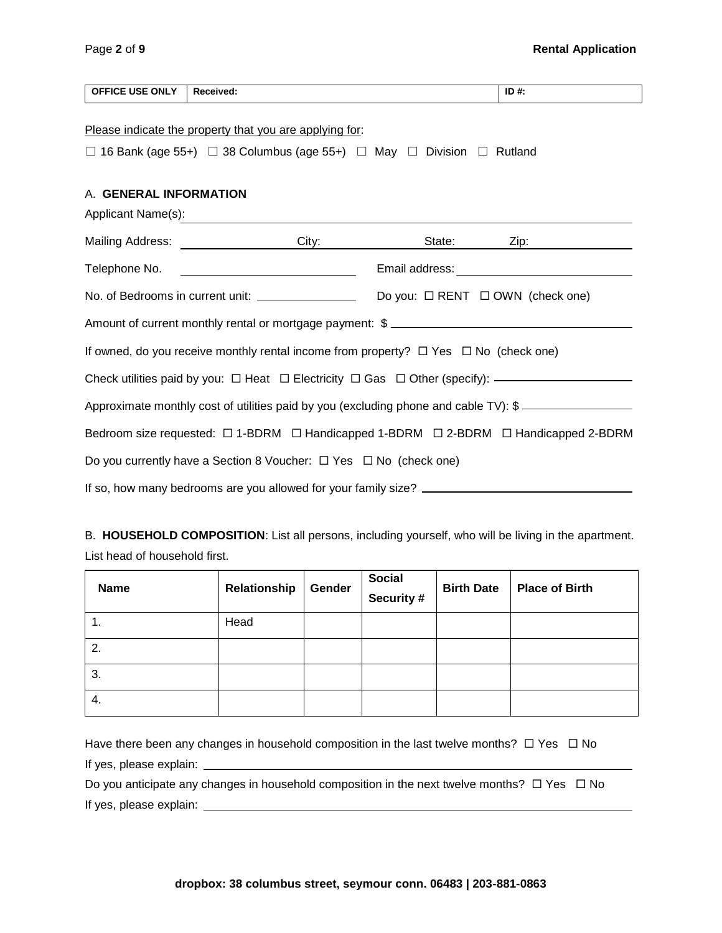| <b>OFFICE USE ONLY</b>                                                                                                                                     | Received:                                                                                                                                                                                                                            |  | ID#:               |  |  |  |  |
|------------------------------------------------------------------------------------------------------------------------------------------------------------|--------------------------------------------------------------------------------------------------------------------------------------------------------------------------------------------------------------------------------------|--|--------------------|--|--|--|--|
| Please indicate the property that you are applying for:<br>$\Box$ 16 Bank (age 55+) $\Box$ 38 Columbus (age 55+) $\Box$ May $\Box$ Division $\Box$ Rutland |                                                                                                                                                                                                                                      |  |                    |  |  |  |  |
| A. GENERAL INFORMATION                                                                                                                                     | Applicant Name(s): <u>contract the contract of the contract of the contract of the contract of the contract of the contract of the contract of the contract of the contract of the contract of the contract of the contract of t</u> |  |                    |  |  |  |  |
|                                                                                                                                                            |                                                                                                                                                                                                                                      |  | State: <u>Zip:</u> |  |  |  |  |
|                                                                                                                                                            | Telephone No. <u>Contract Communication</u> Email address: Communication Communication Communication Communication Co                                                                                                                |  |                    |  |  |  |  |
|                                                                                                                                                            |                                                                                                                                                                                                                                      |  |                    |  |  |  |  |
|                                                                                                                                                            | Amount of current monthly rental or mortgage payment: \$ _________________________                                                                                                                                                   |  |                    |  |  |  |  |
| If owned, do you receive monthly rental income from property? $\Box$ Yes $\Box$ No (check one)                                                             |                                                                                                                                                                                                                                      |  |                    |  |  |  |  |
| Check utilities paid by you: $\Box$ Heat $\Box$ Electricity $\Box$ Gas $\Box$ Other (specify): $\Box$                                                      |                                                                                                                                                                                                                                      |  |                    |  |  |  |  |
| Approximate monthly cost of utilities paid by you (excluding phone and cable TV): \$                                                                       |                                                                                                                                                                                                                                      |  |                    |  |  |  |  |
| Bedroom size requested: □ 1-BDRM □ Handicapped 1-BDRM □ 2-BDRM □ Handicapped 2-BDRM                                                                        |                                                                                                                                                                                                                                      |  |                    |  |  |  |  |
| Do you currently have a Section 8 Voucher: $\Box$ Yes $\Box$ No (check one)                                                                                |                                                                                                                                                                                                                                      |  |                    |  |  |  |  |
|                                                                                                                                                            |                                                                                                                                                                                                                                      |  |                    |  |  |  |  |

B. **HOUSEHOLD COMPOSITION**: List all persons, including yourself, who will be living in the apartment. List head of household first.

| <b>Name</b> | Relationship | Gender | <b>Social</b><br>Security # | <b>Birth Date</b> | <b>Place of Birth</b> |
|-------------|--------------|--------|-----------------------------|-------------------|-----------------------|
|             | Head         |        |                             |                   |                       |
| 2.          |              |        |                             |                   |                       |
| 3.          |              |        |                             |                   |                       |
| 4.          |              |        |                             |                   |                       |

Have there been any changes in household composition in the last twelve months?  $\Box$  Yes  $\Box$  No If yes, please explain:

Do you anticipate any changes in household composition in the next twelve months?  $\Box$  Yes  $\Box$  No If yes, please explain: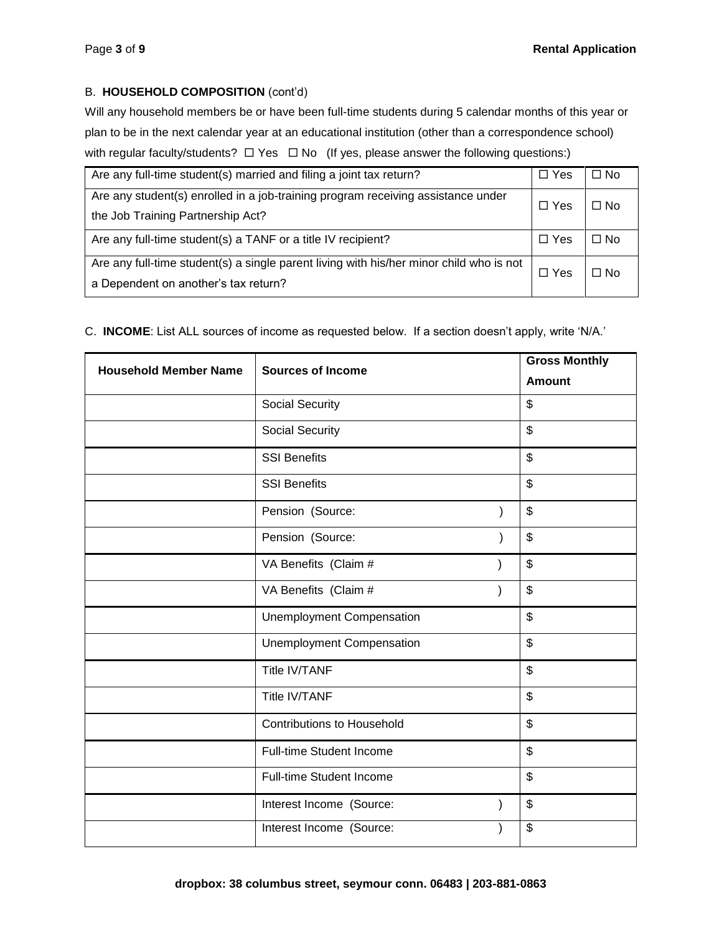# B. **HOUSEHOLD COMPOSITION** (cont'd)

Will any household members be or have been full-time students during 5 calendar months of this year or plan to be in the next calendar year at an educational institution (other than a correspondence school) with regular faculty/students?  $\Box$  Yes  $\Box$  No (If yes, please answer the following questions:)

| Are any full-time student(s) married and filing a joint tax return?                     | $\Box$ Yes | $\Box$ No |
|-----------------------------------------------------------------------------------------|------------|-----------|
| Are any student(s) enrolled in a job-training program receiving assistance under        | $\Box$ Yes | $\Box$ No |
| the Job Training Partnership Act?                                                       |            |           |
| Are any full-time student(s) a TANF or a title IV recipient?                            | $\Box$ Yes | $\Box$ No |
| Are any full-time student(s) a single parent living with his/her minor child who is not | □ Yes      | ⊟ No      |
| a Dependent on another's tax return?                                                    |            |           |

# C. **INCOME**: List ALL sources of income as requested below. If a section doesn't apply, write 'N/A.'

| <b>Household Member Name</b> | <b>Sources of Income</b>          |  | <b>Gross Monthly</b> |
|------------------------------|-----------------------------------|--|----------------------|
|                              |                                   |  | <b>Amount</b>        |
|                              | Social Security                   |  | \$                   |
|                              | Social Security                   |  | \$                   |
|                              | <b>SSI Benefits</b>               |  | \$                   |
|                              | <b>SSI Benefits</b>               |  | \$                   |
|                              | Pension (Source:                  |  | \$                   |
|                              | Pension (Source:                  |  | \$                   |
|                              | VA Benefits (Claim #              |  | \$                   |
|                              | VA Benefits (Claim #              |  | \$                   |
|                              | <b>Unemployment Compensation</b>  |  | \$                   |
|                              | <b>Unemployment Compensation</b>  |  | \$                   |
|                              | <b>Title IV/TANF</b>              |  | \$                   |
|                              | <b>Title IV/TANF</b>              |  | \$                   |
|                              | <b>Contributions to Household</b> |  | \$                   |
|                              | Full-time Student Income          |  | \$                   |
|                              | Full-time Student Income          |  | \$                   |
|                              | Interest Income (Source:          |  | \$                   |
|                              | Interest Income (Source:          |  | \$                   |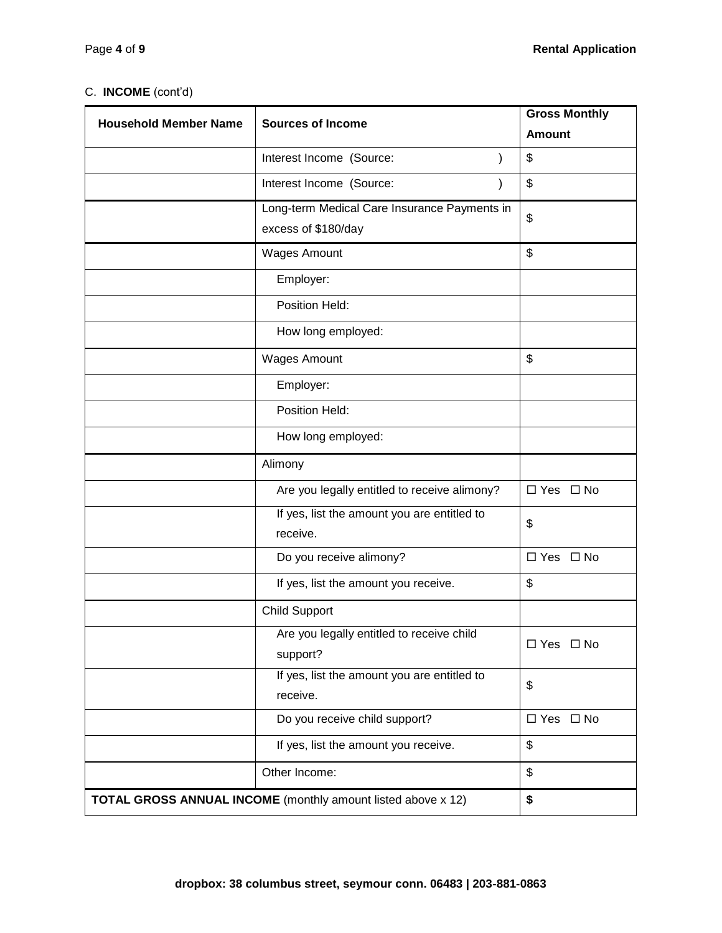# C. **INCOME** (cont'd)

| <b>Household Member Name</b>                                              | <b>Sources of Income</b>                     | <b>Gross Monthly</b> |  |
|---------------------------------------------------------------------------|----------------------------------------------|----------------------|--|
|                                                                           |                                              | <b>Amount</b>        |  |
|                                                                           | Interest Income (Source:                     | \$                   |  |
|                                                                           | Interest Income (Source:<br>$\mathcal{E}$    | \$                   |  |
|                                                                           | Long-term Medical Care Insurance Payments in | \$                   |  |
|                                                                           | excess of \$180/day                          |                      |  |
|                                                                           | <b>Wages Amount</b>                          | \$                   |  |
|                                                                           | Employer:                                    |                      |  |
|                                                                           | Position Held:                               |                      |  |
|                                                                           | How long employed:                           |                      |  |
|                                                                           | <b>Wages Amount</b>                          | \$                   |  |
|                                                                           | Employer:                                    |                      |  |
|                                                                           | Position Held:                               |                      |  |
|                                                                           | How long employed:                           |                      |  |
|                                                                           | Alimony                                      |                      |  |
|                                                                           | Are you legally entitled to receive alimony? | □ Yes □ No           |  |
|                                                                           | If yes, list the amount you are entitled to  | \$                   |  |
|                                                                           | receive.                                     |                      |  |
|                                                                           | Do you receive alimony?                      | $\Box$ Yes $\Box$ No |  |
|                                                                           | If yes, list the amount you receive.         | \$                   |  |
|                                                                           | <b>Child Support</b>                         |                      |  |
|                                                                           | Are you legally entitled to receive child    | □ Yes □ No           |  |
|                                                                           | support?                                     |                      |  |
|                                                                           | If yes, list the amount you are entitled to  | \$                   |  |
|                                                                           | receive.                                     |                      |  |
|                                                                           | Do you receive child support?                | □ Yes □ No           |  |
|                                                                           | If yes, list the amount you receive.         | \$                   |  |
|                                                                           | Other Income:                                | \$                   |  |
| <b>TOTAL GROSS ANNUAL INCOME</b> (monthly amount listed above x 12)<br>\$ |                                              |                      |  |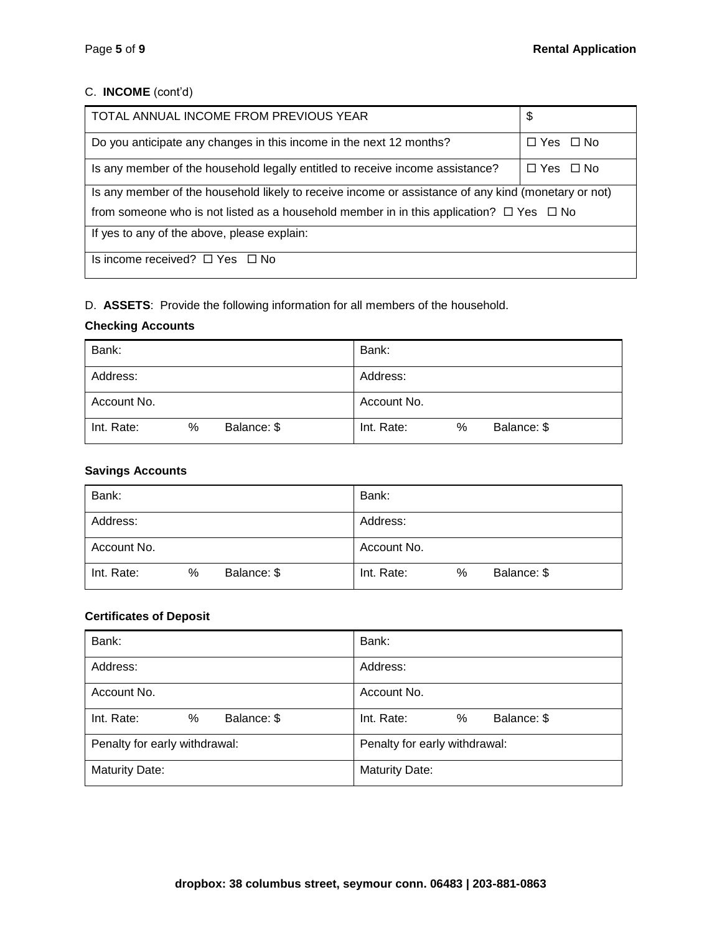# C. **INCOME** (cont'd)

| TOTAL ANNUAL INCOME FROM PREVIOUS YEAR                                                              | \$                   |  |  |  |
|-----------------------------------------------------------------------------------------------------|----------------------|--|--|--|
| Do you anticipate any changes in this income in the next 12 months?                                 | $\Box$ Yes $\Box$ No |  |  |  |
| Is any member of the household legally entitled to receive income assistance?                       | $\Box$ Yes $\Box$ No |  |  |  |
| Is any member of the household likely to receive income or assistance of any kind (monetary or not) |                      |  |  |  |
| from someone who is not listed as a household member in in this application? $\Box$ Yes $\Box$ No   |                      |  |  |  |
| If yes to any of the above, please explain:                                                         |                      |  |  |  |
| Is income received? $\Box$ Yes $\Box$ No                                                            |                      |  |  |  |

# D. **ASSETS**: Provide the following information for all members of the household.

# **Checking Accounts**

| Bank:       |   |             | Bank:       |   |             |
|-------------|---|-------------|-------------|---|-------------|
| Address:    |   |             | Address:    |   |             |
| Account No. |   |             | Account No. |   |             |
| Int. Rate:  | % | Balance: \$ | Int. Rate:  | % | Balance: \$ |

# **Savings Accounts**

| Bank:       |   |             | Bank:       |   |             |
|-------------|---|-------------|-------------|---|-------------|
| Address:    |   |             | Address:    |   |             |
| Account No. |   |             | Account No. |   |             |
| Int. Rate:  | % | Balance: \$ | Int. Rate:  | % | Balance: \$ |

# **Certificates of Deposit**

| Bank:                          | Bank:                          |  |
|--------------------------------|--------------------------------|--|
| Address:                       | Address:                       |  |
| Account No.                    | Account No.                    |  |
| Balance: \$<br>Int. Rate:<br>% | Balance: \$<br>Int. Rate:<br>% |  |
| Penalty for early withdrawal:  | Penalty for early withdrawal:  |  |
| <b>Maturity Date:</b>          | <b>Maturity Date:</b>          |  |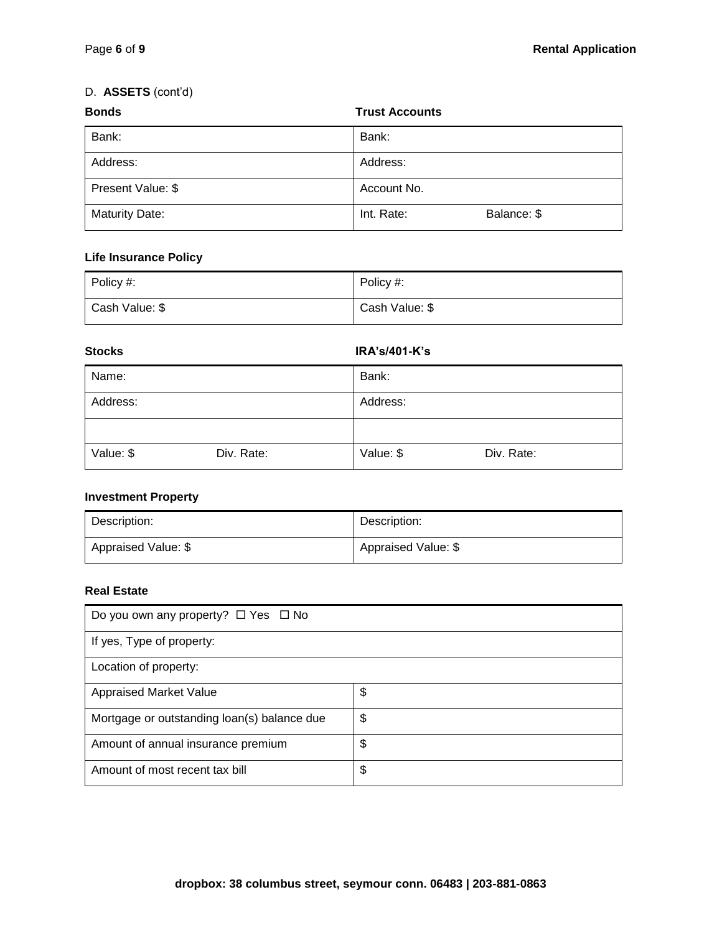# D. **ASSETS** (cont'd)

| <b>Bonds</b><br><b>Trust Accounts</b> |                           |  |  |
|---------------------------------------|---------------------------|--|--|
| Bank:                                 | Bank:                     |  |  |
| Address:                              | Address:                  |  |  |
| Present Value: \$                     | Account No.               |  |  |
| <b>Maturity Date:</b>                 | Balance: \$<br>Int. Rate: |  |  |

# **Life Insurance Policy**

| Policy $#$ :   | Policy #:      |
|----------------|----------------|
| Cash Value: \$ | Cash Value: \$ |

# **Stocks IRA's/401-K's** Name: Bank: Address: Address: Value: \$ Div. Rate: <br> Value: \$ Div. Rate:

# **Investment Property**

| Description:        | Description:        |
|---------------------|---------------------|
| Appraised Value: \$ | Appraised Value: \$ |

# **Real Estate**

| Do you own any property? $\Box$ Yes $\Box$ No |    |  |
|-----------------------------------------------|----|--|
| If yes, Type of property:                     |    |  |
| Location of property:                         |    |  |
| <b>Appraised Market Value</b>                 | \$ |  |
| Mortgage or outstanding loan(s) balance due   | \$ |  |
| Amount of annual insurance premium            | \$ |  |
| Amount of most recent tax bill                | \$ |  |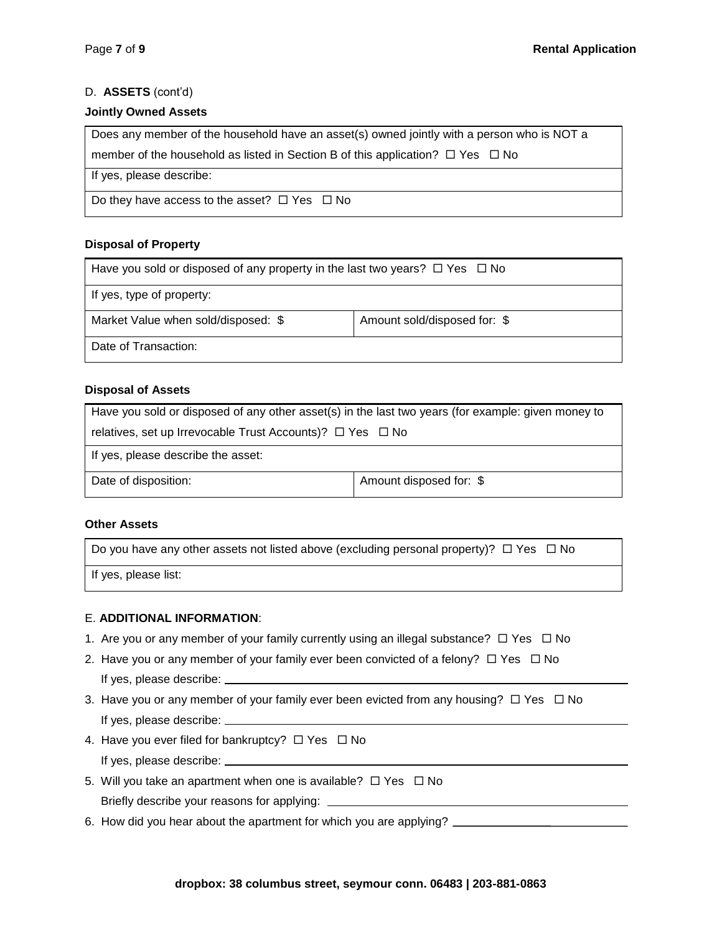# D. **ASSETS** (cont'd)

#### **Jointly Owned Assets**

Does any member of the household have an asset(s) owned jointly with a person who is NOT a

member of the household as listed in Section B of this application?  $\Box$  Yes  $\Box$  No

If yes, please describe:

Do they have access to the asset?  $\Box$  Yes  $\Box$  No

# **Disposal of Property**

| Have you sold or disposed of any property in the last two years? $\Box$ Yes $\Box$ No |                              |  |
|---------------------------------------------------------------------------------------|------------------------------|--|
| If yes, type of property:                                                             |                              |  |
| Market Value when sold/disposed: \$                                                   | Amount sold/disposed for: \$ |  |
| Date of Transaction:                                                                  |                              |  |

# **Disposal of Assets**

| Have you sold or disposed of any other asset(s) in the last two years (for example: given money to |  |  |
|----------------------------------------------------------------------------------------------------|--|--|
| relatives, set up Irrevocable Trust Accounts)? $\Box$ Yes $\Box$ No                                |  |  |
| If yes, please describe the asset:                                                                 |  |  |
| Amount disposed for: \$<br>Date of disposition:                                                    |  |  |

# **Other Assets**

Do you have any other assets not listed above (excluding personal property)?  $\Box$  Yes  $\Box$  No

If yes, please list:

# E. **ADDITIONAL INFORMATION**:

- 1. Are you or any member of your family currently using an illegal substance?  $\Box$  Yes  $\Box$  No
- 2. Have you or any member of your family ever been convicted of a felony?  $\Box$  Yes  $\Box$  No If yes, please describe:
- 3. Have you or any member of your family ever been evicted from any housing?  $\Box$  Yes  $\Box$  No If yes, please describe:
- 4. Have you ever filed for bankruptcy?  $\Box$  Yes  $\Box$  No If yes, please describe:
- 5. Will you take an apartment when one is available?  $\Box$  Yes  $\Box$  No Briefly describe your reasons for applying:
- 6. How did you hear about the apartment for which you are applying?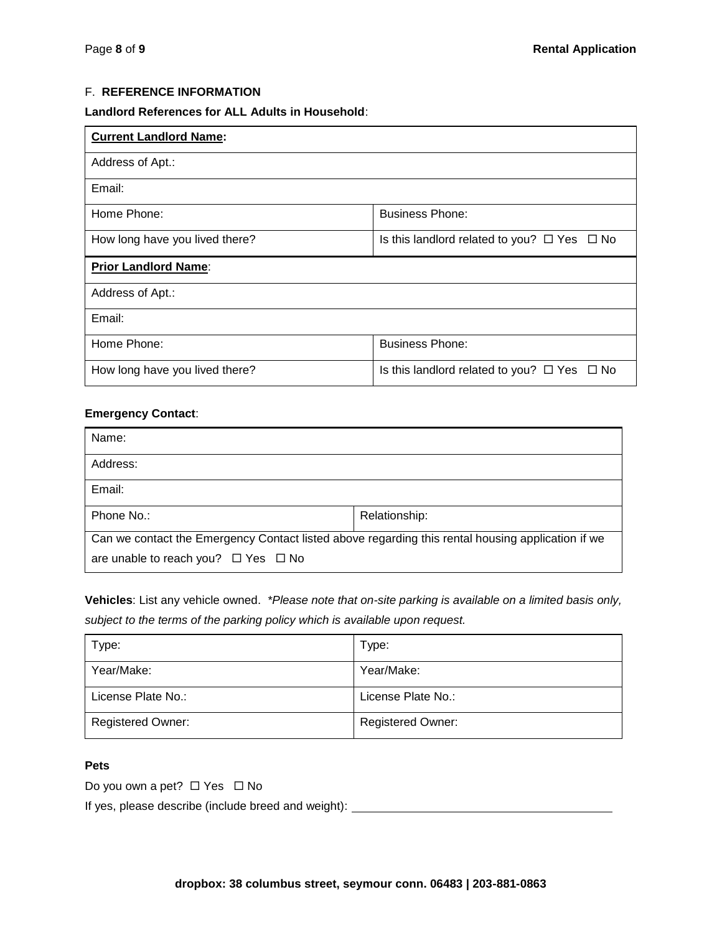# F. **REFERENCE INFORMATION**

#### **Landlord References for ALL Adults in Household**:

| <b>Current Landlord Name:</b>  |                                                       |  |
|--------------------------------|-------------------------------------------------------|--|
| Address of Apt.:               |                                                       |  |
| Email:                         |                                                       |  |
| Home Phone:                    | <b>Business Phone:</b>                                |  |
| How long have you lived there? | Is this landlord related to you? $\Box$ Yes $\Box$ No |  |
| <b>Prior Landlord Name:</b>    |                                                       |  |
| Address of Apt.:               |                                                       |  |
| Email:                         |                                                       |  |
| Home Phone:                    | <b>Business Phone:</b>                                |  |
| How long have you lived there? | Is this landlord related to you? $\Box$ Yes $\Box$ No |  |

#### **Emergency Contact**:

| Name:                                                                                             |               |  |
|---------------------------------------------------------------------------------------------------|---------------|--|
| Address:                                                                                          |               |  |
| Email:                                                                                            |               |  |
| Phone No.:                                                                                        | Relationship: |  |
| Can we contact the Emergency Contact listed above regarding this rental housing application if we |               |  |
| are unable to reach you? $\Box$ Yes $\Box$ No                                                     |               |  |

**Vehicles**: List any vehicle owned. *\*Please note that on-site parking is available on a limited basis only, subject to the terms of the parking policy which is available upon request.* 

| Type:                    | Type:                    |
|--------------------------|--------------------------|
| Year/Make:               | Year/Make:               |
| License Plate No.:       | License Plate No.:       |
| <b>Registered Owner:</b> | <b>Registered Owner:</b> |

# **Pets**

Do you own a pet?  $\Box$  Yes  $\Box$  No

If yes, please describe (include breed and weight):